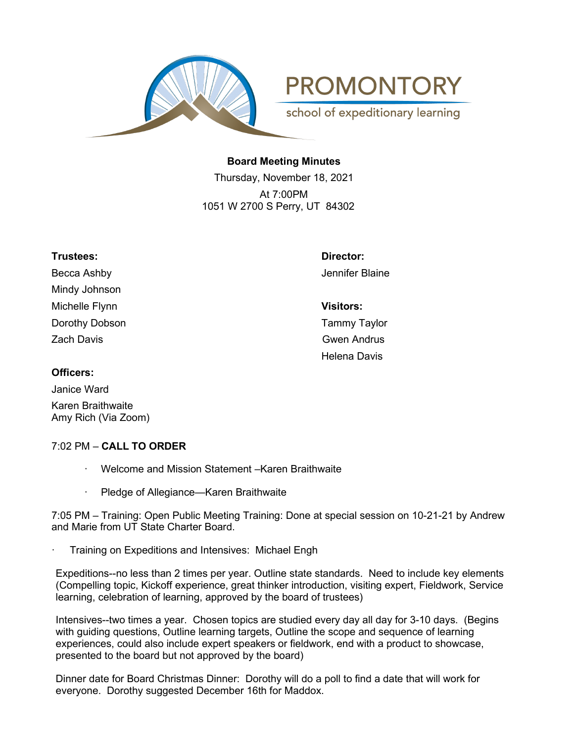

**PROMONTORY** school of expeditionary learning

**Board Meeting Minutes**

Thursday, November 18, 2021 At 7:00PM 1051 W 2700 S Perry, UT 84302

| Trustees:         | Director:           |
|-------------------|---------------------|
| Becca Ashby       | Jennifer Blaine     |
| Mindy Johnson     |                     |
| Michelle Flynn    | <b>Visitors:</b>    |
| Dorothy Dobson    | <b>Tammy Taylor</b> |
| <b>Zach Davis</b> | <b>Gwen Andrus</b>  |
|                   | <b>Helena Davis</b> |
| Officers:         |                     |

## **Officers:**

Janice Ward Karen Braithwaite Amy Rich (Via Zoom)

# 7:02 PM – **CALL TO ORDER**

- Welcome and Mission Statement Karen Braithwaite
- Pledge of Allegiance—Karen Braithwaite

7:05 PM – Training: Open Public Meeting Training: Done at special session on 10-21-21 by Andrew and Marie from UT State Charter Board.

Training on Expeditions and Intensives: Michael Engh

Expeditions--no less than 2 times per year. Outline state standards. Need to include key elements (Compelling topic, Kickoff experience, great thinker introduction, visiting expert, Fieldwork, Service learning, celebration of learning, approved by the board of trustees)

Intensives--two times a year. Chosen topics are studied every day all day for 3-10 days. (Begins with guiding questions, Outline learning targets, Outline the scope and sequence of learning experiences, could also include expert speakers or fieldwork, end with a product to showcase, presented to the board but not approved by the board)

Dinner date for Board Christmas Dinner: Dorothy will do a poll to find a date that will work for everyone. Dorothy suggested December 16th for Maddox.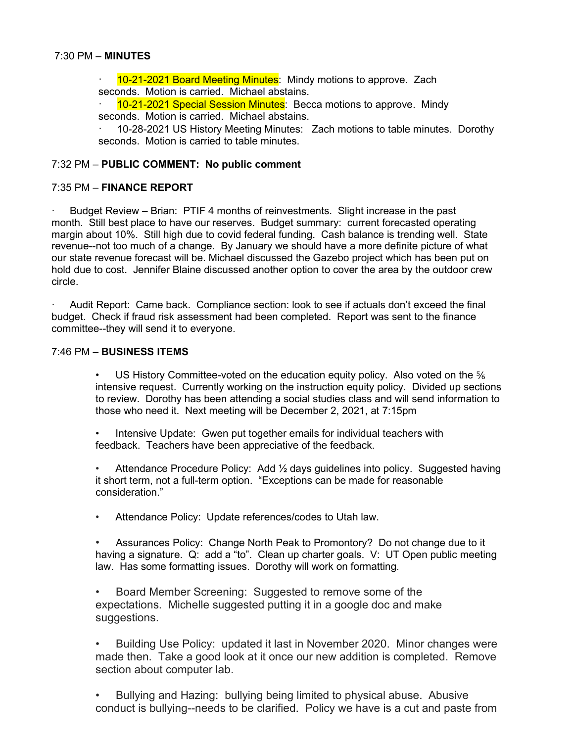#### 7:30 PM – **MINUTES**

10-21-2021 Board Meeting Minutes: Mindy motions to approve. Zach seconds. Motion is carried. Michael abstains.

· 10-21-2021 Special Session Minutes: Becca motions to approve. Mindy seconds. Motion is carried. Michael abstains.

· 10-28-2021 US History Meeting Minutes: Zach motions to table minutes. Dorothy seconds. Motion is carried to table minutes.

#### 7:32 PM – **PUBLIC COMMENT: No public comment**

#### 7:35 PM – **FINANCE REPORT**

Budget Review - Brian: PTIF 4 months of reinvestments. Slight increase in the past month. Still best place to have our reserves. Budget summary: current forecasted operating margin about 10%. Still high due to covid federal funding. Cash balance is trending well. State revenue--not too much of a change. By January we should have a more definite picture of what our state revenue forecast will be. Michael discussed the Gazebo project which has been put on hold due to cost. Jennifer Blaine discussed another option to cover the area by the outdoor crew circle.

· Audit Report: Came back. Compliance section: look to see if actuals don't exceed the final budget. Check if fraud risk assessment had been completed. Report was sent to the finance committee--they will send it to everyone.

#### 7:46 PM – **BUSINESS ITEMS**

US History Committee-voted on the education equity policy. Also voted on the  $\frac{5}{6}$ intensive request. Currently working on the instruction equity policy. Divided up sections to review. Dorothy has been attending a social studies class and will send information to those who need it. Next meeting will be December 2, 2021, at 7:15pm

Intensive Update: Gwen put together emails for individual teachers with feedback. Teachers have been appreciative of the feedback.

• Attendance Procedure Policy: Add ½ days guidelines into policy. Suggested having it short term, not a full-term option. "Exceptions can be made for reasonable consideration."

Attendance Policy: Update references/codes to Utah law.

• Assurances Policy: Change North Peak to Promontory? Do not change due to it having a signature. Q: add a "to". Clean up charter goals. V: UT Open public meeting law. Has some formatting issues. Dorothy will work on formatting.

• Board Member Screening: Suggested to remove some of the expectations. Michelle suggested putting it in a google doc and make suggestions.

• Building Use Policy: updated it last in November 2020. Minor changes were made then. Take a good look at it once our new addition is completed. Remove section about computer lab.

• Bullying and Hazing: bullying being limited to physical abuse. Abusive conduct is bullying--needs to be clarified. Policy we have is a cut and paste from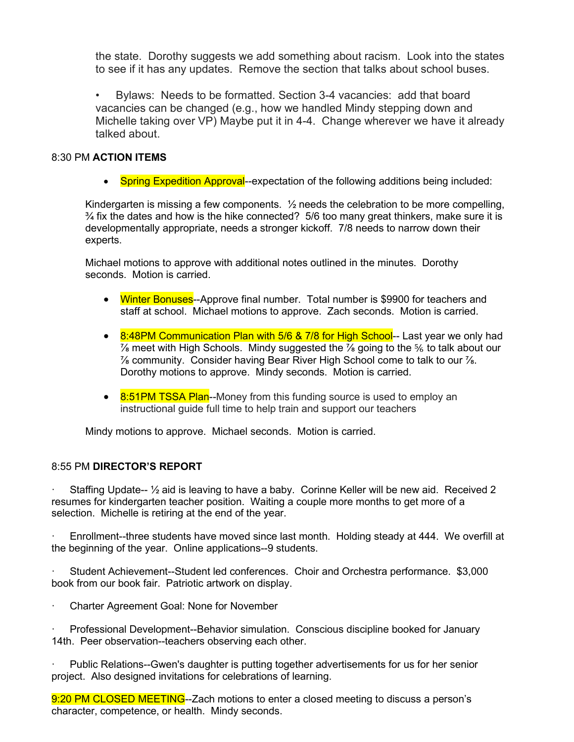the state. Dorothy suggests we add something about racism. Look into the states to see if it has any updates. Remove the section that talks about school buses.

• Bylaws: Needs to be formatted. Section 3-4 vacancies: add that board vacancies can be changed (e.g., how we handled Mindy stepping down and Michelle taking over VP) Maybe put it in 4-4. Change wherever we have it already talked about.

## 8:30 PM **ACTION ITEMS**

• Spring Expedition Approval--expectation of the following additions being included:

Kindergarten is missing a few components.  $\frac{1}{2}$  needs the celebration to be more compelling,  $\frac{3}{4}$  fix the dates and how is the hike connected? 5/6 too many great thinkers, make sure it is developmentally appropriate, needs a stronger kickoff. 7/8 needs to narrow down their experts.

Michael motions to approve with additional notes outlined in the minutes. Dorothy seconds. Motion is carried.

- Winter Bonuses--Approve final number. Total number is \$9900 for teachers and staff at school. Michael motions to approve. Zach seconds. Motion is carried.
- 8:48PM Communication Plan with 5/6 & 7/8 for High School-- Last year we only had  $\%$  meet with High Schools. Mindy suggested the  $\%$  going to the  $\%$  to talk about our  $\frac{7}{8}$  community. Consider having Bear River High School come to talk to our  $\frac{7}{8}$ . Dorothy motions to approve. Mindy seconds. Motion is carried.
- 8:51PM TSSA Plan--Money from this funding source is used to employ an instructional guide full time to help train and support our teachers

Mindy motions to approve. Michael seconds. Motion is carried.

### 8:55 PM **DIRECTOR'S REPORT**

Staffing Update--  $\frac{1}{2}$  aid is leaving to have a baby. Corinne Keller will be new aid. Received 2 resumes for kindergarten teacher position. Waiting a couple more months to get more of a selection. Michelle is retiring at the end of the year.

· Enrollment--three students have moved since last month. Holding steady at 444. We overfill at the beginning of the year. Online applications--9 students.

· Student Achievement--Student led conferences. Choir and Orchestra performance. \$3,000 book from our book fair. Patriotic artwork on display.

· Charter Agreement Goal: None for November

· Professional Development--Behavior simulation. Conscious discipline booked for January 14th. Peer observation--teachers observing each other.

Public Relations--Gwen's daughter is putting together advertisements for us for her senior project. Also designed invitations for celebrations of learning.

9:20 PM CLOSED MEETING--Zach motions to enter a closed meeting to discuss a person's character, competence, or health. Mindy seconds.